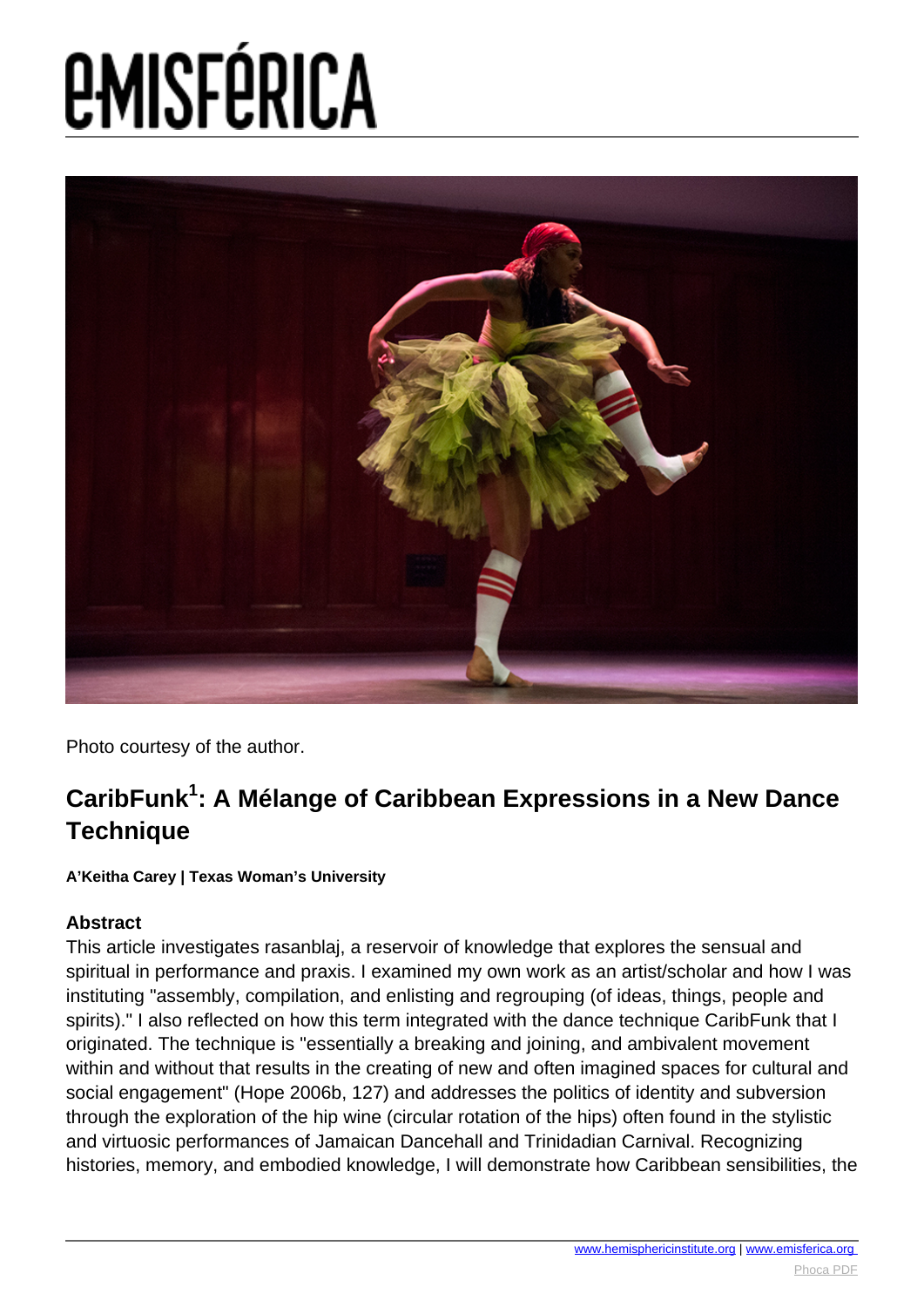

Photo courtesy of the author.

### **CaribFunk<sup>1</sup> : A Mélange of Caribbean Expressions in a New Dance Technique**

**A'Keitha Carey | Texas Woman's University**

### **Abstract**

This article investigates rasanblaj, a reservoir of knowledge that explores the sensual and spiritual in performance and praxis. I examined my own work as an artist/scholar and how I was instituting "assembly, compilation, and enlisting and regrouping (of ideas, things, people and spirits)." I also reflected on how this term integrated with the dance technique CaribFunk that I originated. The technique is "essentially a breaking and joining, and ambivalent movement within and without that results in the creating of new and often imagined spaces for cultural and social engagement" (Hope 2006b, 127) and addresses the politics of identity and subversion through the exploration of the hip wine (circular rotation of the hips) often found in the stylistic and virtuosic performances of Jamaican Dancehall and Trinidadian Carnival. Recognizing histories, memory, and embodied knowledge, I will demonstrate how Caribbean sensibilities, the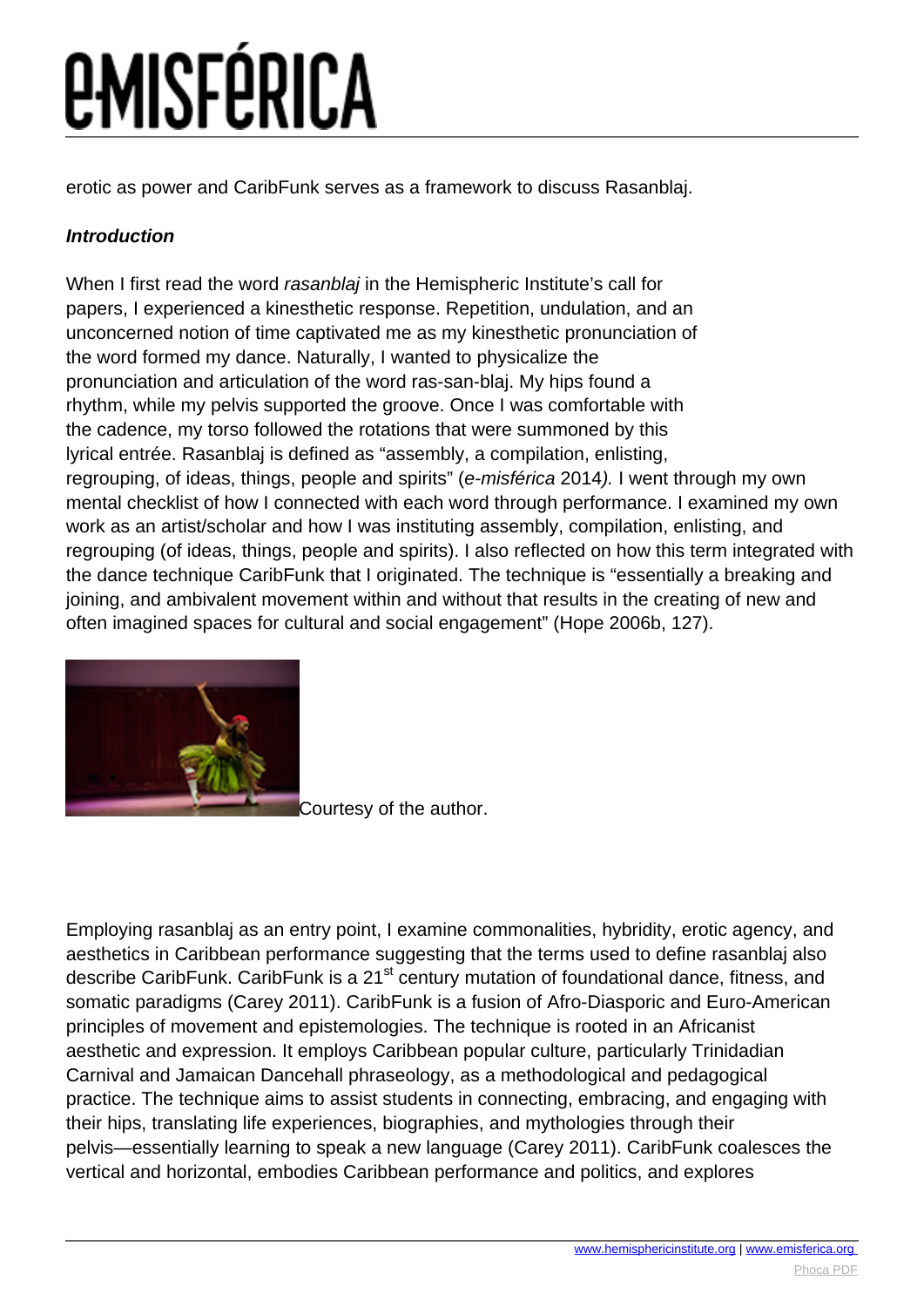erotic as power and CaribFunk serves as a framework to discuss Rasanblaj.

### **Introduction**

When I first read the word rasanblaj in the Hemispheric Institute's call for papers, I experienced a kinesthetic response. Repetition, undulation, and an unconcerned notion of time captivated me as my kinesthetic pronunciation of the word formed my dance. Naturally, I wanted to physicalize the pronunciation and articulation of the word ras-san-blaj. My hips found a rhythm, while my pelvis supported the groove. Once I was comfortable with the cadence, my torso followed the rotations that were summoned by this lyrical entrée. Rasanblaj is defined as "assembly, a compilation, enlisting, regrouping, of ideas, things, people and spirits" (e-misférica 2014). I went through my own mental checklist of how I connected with each word through performance. I examined my own work as an artist/scholar and how I was instituting assembly, compilation, enlisting, and regrouping (of ideas, things, people and spirits). I also reflected on how this term integrated with the dance technique CaribFunk that I originated. The technique is "essentially a breaking and joining, and ambivalent movement within and without that results in the creating of new and often imagined spaces for cultural and social engagement" (Hope 2006b, 127).



[C](images/e-misferica/11.2_images/112_lg_carey_01.jpg)ourtesy of the author.

Employing rasanblaj as an entry point, I examine commonalities, hybridity, erotic agency, and aesthetics in Caribbean performance suggesting that the terms used to define rasanblaj also describe CaribFunk. CaribFunk is a 21<sup>st</sup> century mutation of foundational dance, fitness, and somatic paradigms (Carey 2011). CaribFunk is a fusion of Afro-Diasporic and Euro-American principles of movement and epistemologies. The technique is rooted in an Africanist aesthetic and expression. It employs Caribbean popular culture, particularly Trinidadian Carnival and Jamaican Dancehall phraseology, as a methodological and pedagogical practice. The technique aims to assist students in connecting, embracing, and engaging with their hips, translating life experiences, biographies, and mythologies through their pelvis—essentially learning to speak a new language (Carey 2011). CaribFunk coalesces the vertical and horizontal, embodies Caribbean performance and politics, and explores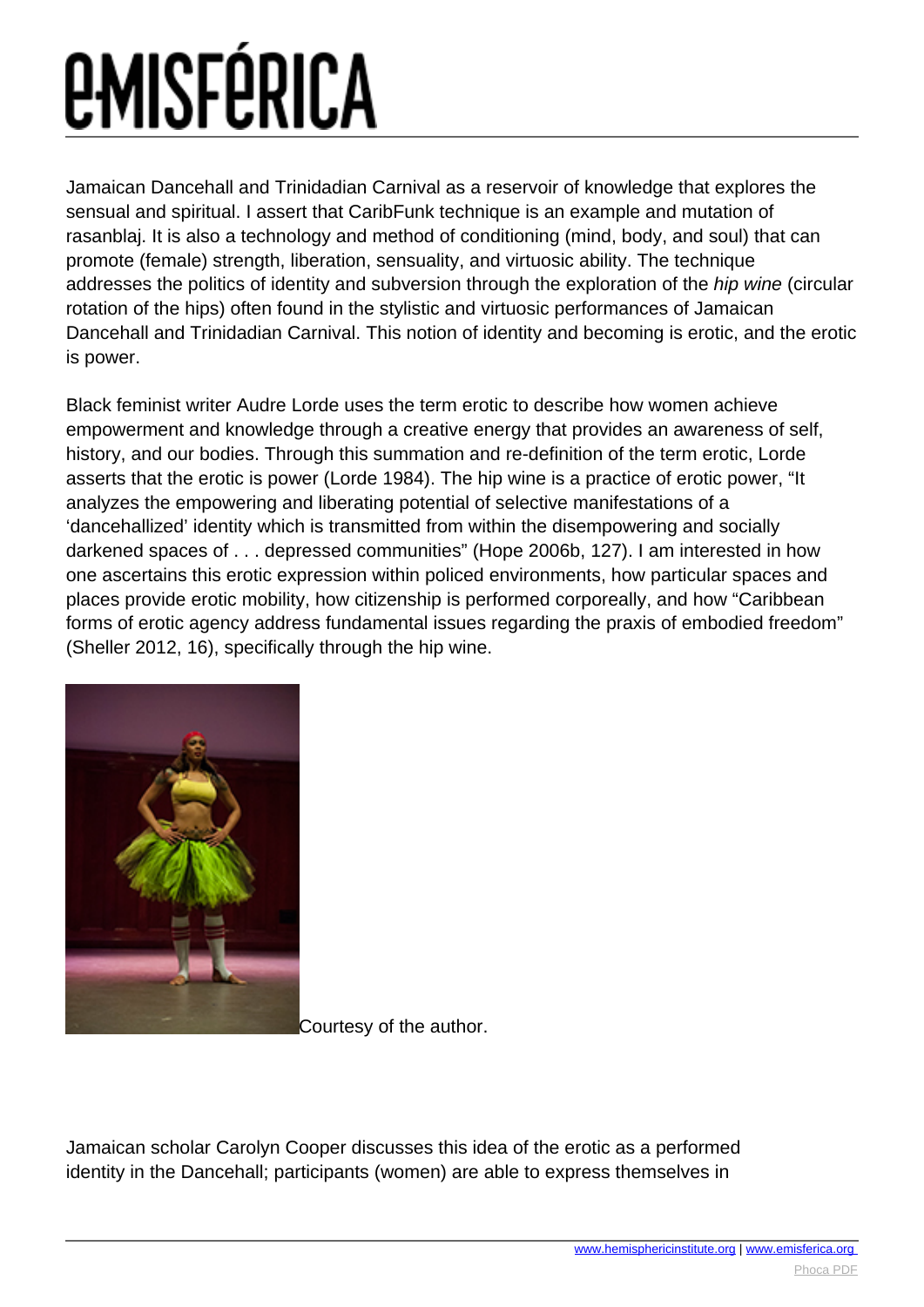Jamaican Dancehall and Trinidadian Carnival as a reservoir of knowledge that explores the sensual and spiritual. I assert that CaribFunk technique is an example and mutation of rasanblaj. It is also a technology and method of conditioning (mind, body, and soul) that can promote (female) strength, liberation, sensuality, and virtuosic ability. The technique addresses the politics of identity and subversion through the exploration of the hip wine (circular rotation of the hips) often found in the stylistic and virtuosic performances of Jamaican Dancehall and Trinidadian Carnival. This notion of identity and becoming is erotic, and the erotic is power.

Black feminist writer Audre Lorde uses the term erotic to describe how women achieve empowerment and knowledge through a creative energy that provides an awareness of self, history, and our bodies. Through this summation and re-definition of the term erotic, Lorde asserts that the erotic is power (Lorde 1984). The hip wine is a practice of erotic power, "It analyzes the empowering and liberating potential of selective manifestations of a 'dancehallized' identity which is transmitted from within the disempowering and socially darkened spaces of . . . depressed communities" (Hope 2006b, 127). I am interested in how one ascertains this erotic expression within policed environments, how particular spaces and places provide erotic mobility, how citizenship is performed corporeally, and how "Caribbean forms of erotic agency address fundamental issues regarding the praxis of embodied freedom" (Sheller 2012, 16), specifically through the hip wine.



[C](images/e-misferica/11.2_images/112_lg_carey_02.jpg)ourtesy of the author.

Jamaican scholar Carolyn Cooper discusses this idea of the erotic as a performed identity in the Dancehall; participants (women) are able to express themselves in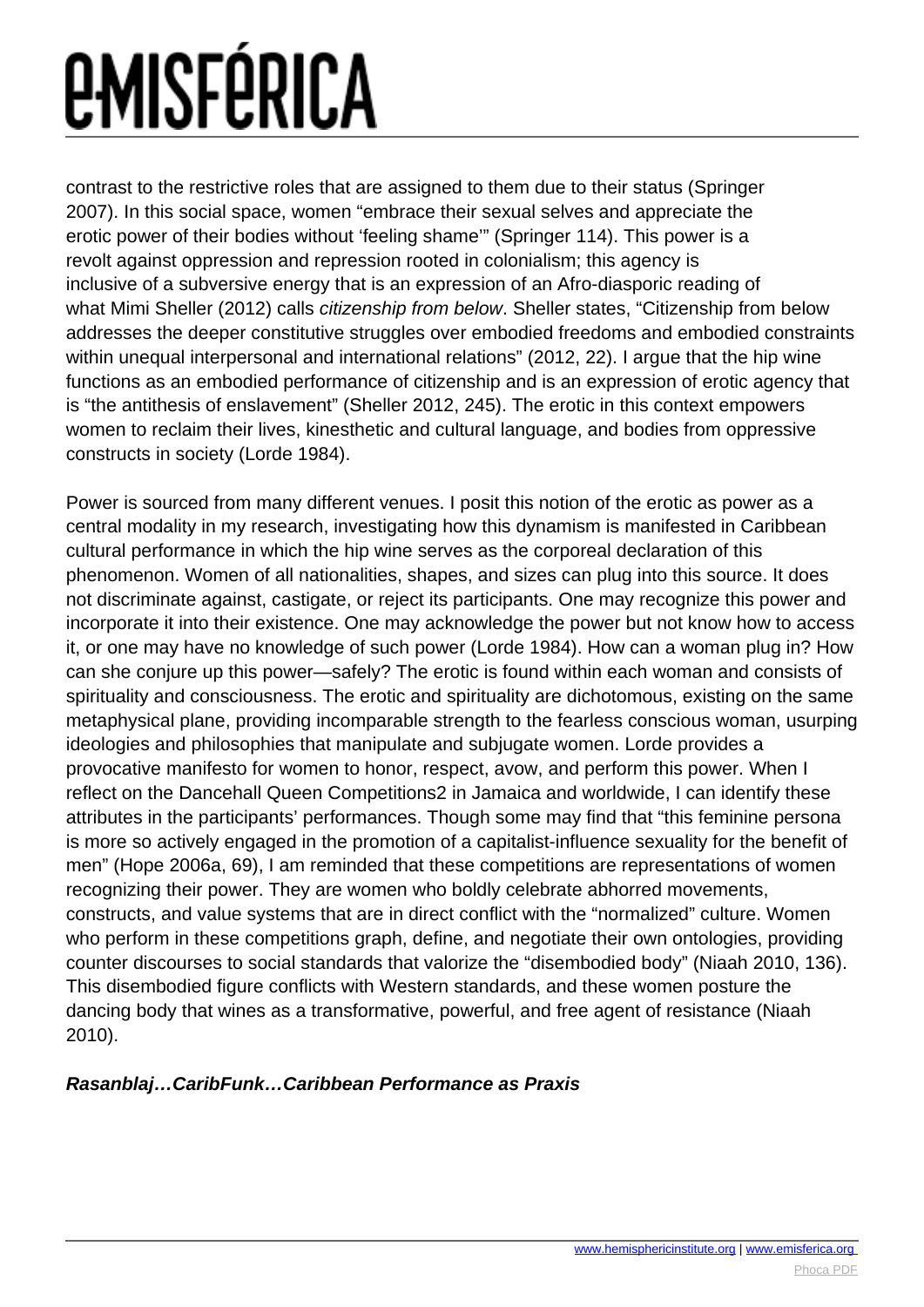contrast to the restrictive roles that are assigned to them due to their status (Springer 2007). In this social space, women "embrace their sexual selves and appreciate the erotic power of their bodies without 'feeling shame'" (Springer 114). This power is a revolt against oppression and repression rooted in colonialism; this agency is inclusive of a subversive energy that is an expression of an Afro-diasporic reading of what Mimi Sheller (2012) calls *citizenship from below*. Sheller states, "Citizenship from below addresses the deeper constitutive struggles over embodied freedoms and embodied constraints within unequal interpersonal and international relations" (2012, 22). I argue that the hip wine functions as an embodied performance of citizenship and is an expression of erotic agency that is "the antithesis of enslavement" (Sheller 2012, 245). The erotic in this context empowers women to reclaim their lives, kinesthetic and cultural language, and bodies from oppressive constructs in society (Lorde 1984).

Power is sourced from many different venues. I posit this notion of the erotic as power as a central modality in my research, investigating how this dynamism is manifested in Caribbean cultural performance in which the hip wine serves as the corporeal declaration of this phenomenon. Women of all nationalities, shapes, and sizes can plug into this source. It does not discriminate against, castigate, or reject its participants. One may recognize this power and incorporate it into their existence. One may acknowledge the power but not know how to access it, or one may have no knowledge of such power (Lorde 1984). How can a woman plug in? How can she conjure up this power—safely? The erotic is found within each woman and consists of spirituality and consciousness. The erotic and spirituality are dichotomous, existing on the same metaphysical plane, providing incomparable strength to the fearless conscious woman, usurping ideologies and philosophies that manipulate and subjugate women. Lorde provides a provocative manifesto for women to honor, respect, avow, and perform this power. When I reflect on the Dancehall Queen Competitions2 in Jamaica and worldwide, I can identify these attributes in the participants' performances. Though some may find that "this feminine persona is more so actively engaged in the promotion of a capitalist-influence sexuality for the benefit of men" (Hope 2006a, 69), I am reminded that these competitions are representations of women recognizing their power. They are women who boldly celebrate abhorred movements, constructs, and value systems that are in direct conflict with the "normalized" culture. Women who perform in these competitions graph, define, and negotiate their own ontologies, providing counter discourses to social standards that valorize the "disembodied body" (Niaah 2010, 136). This disembodied figure conflicts with Western standards, and these women posture the dancing body that wines as a transformative, powerful, and free agent of resistance (Niaah 2010).

#### **Rasanblaj…CaribFunk…Caribbean Performance as Praxis**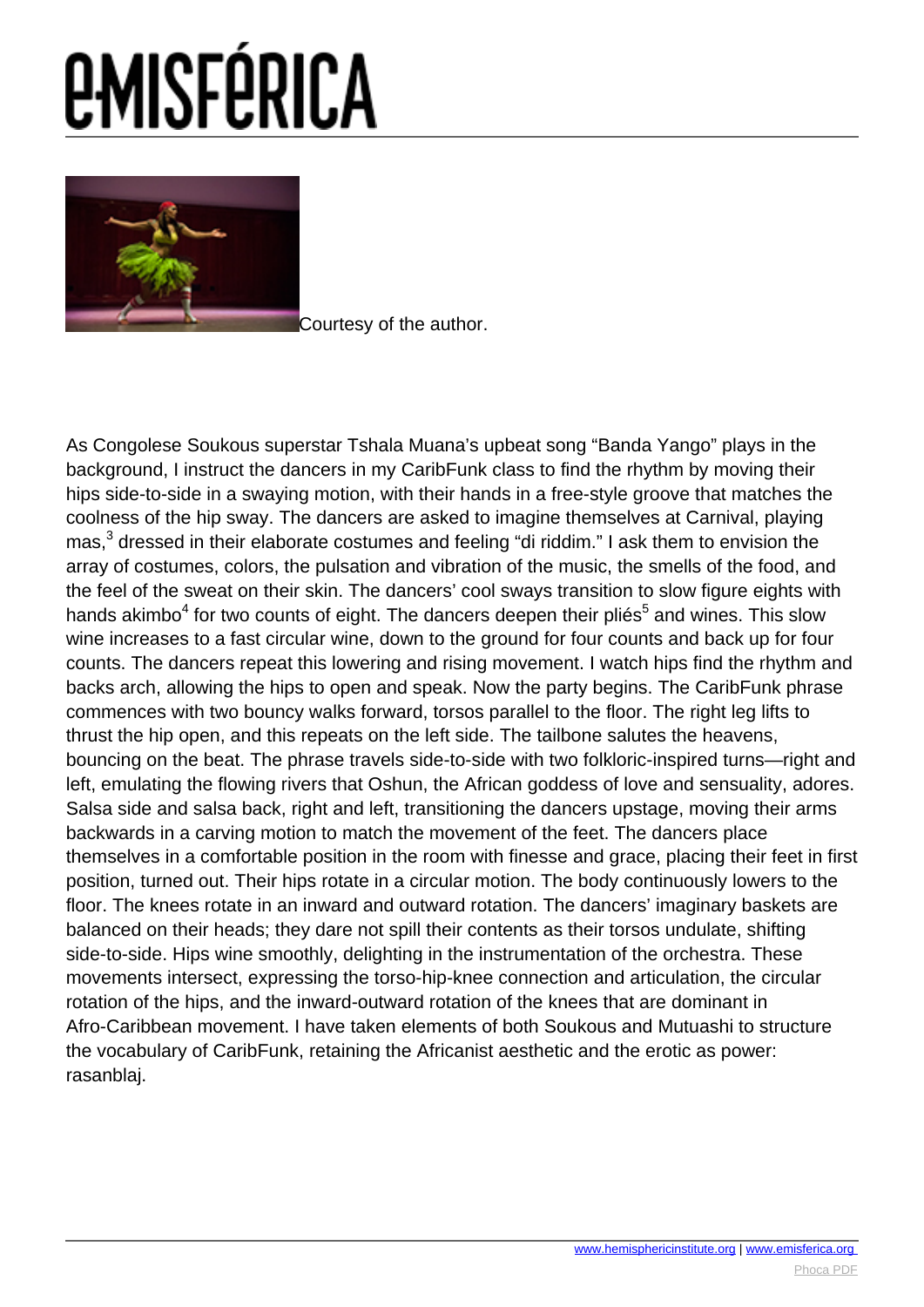

[C](images/e-misferica/11.2_images/112_lg_carey_03.jpg)ourtesy of the author.

As Congolese Soukous superstar Tshala Muana's upbeat song "Banda Yango" plays in the background, I instruct the dancers in my CaribFunk class to find the rhythm by moving their hips side-to-side in a swaying motion, with their hands in a free-style groove that matches the coolness of the hip sway. The dancers are asked to imagine themselves at Carnival, playing mas,<sup>3</sup> dressed in their elaborate costumes and feeling "di riddim." I ask them to envision the array of costumes, colors, the pulsation and vibration of the music, the smells of the food, and the feel of the sweat on their skin. The dancers' cool sways transition to slow figure eights with hands akimbo<sup>4</sup> for two counts of eight. The dancers deepen their pliés<sup>5</sup> and wines. This slow wine increases to a fast circular wine, down to the ground for four counts and back up for four counts. The dancers repeat this lowering and rising movement. I watch hips find the rhythm and backs arch, allowing the hips to open and speak. Now the party begins. The CaribFunk phrase commences with two bouncy walks forward, torsos parallel to the floor. The right leg lifts to thrust the hip open, and this repeats on the left side. The tailbone salutes the heavens, bouncing on the beat. The phrase travels side-to-side with two folkloric-inspired turns—right and left, emulating the flowing rivers that Oshun, the African goddess of love and sensuality, adores. Salsa side and salsa back, right and left, transitioning the dancers upstage, moving their arms backwards in a carving motion to match the movement of the feet. The dancers place themselves in a comfortable position in the room with finesse and grace, placing their feet in first position, turned out. Their hips rotate in a circular motion. The body continuously lowers to the floor. The knees rotate in an inward and outward rotation. The dancers' imaginary baskets are balanced on their heads; they dare not spill their contents as their torsos undulate, shifting side-to-side. Hips wine smoothly, delighting in the instrumentation of the orchestra. These movements intersect, expressing the torso-hip-knee connection and articulation, the circular rotation of the hips, and the inward-outward rotation of the knees that are dominant in Afro-Caribbean movement. I have taken elements of both Soukous and Mutuashi to structure the vocabulary of CaribFunk, retaining the Africanist aesthetic and the erotic as power: rasanblaj.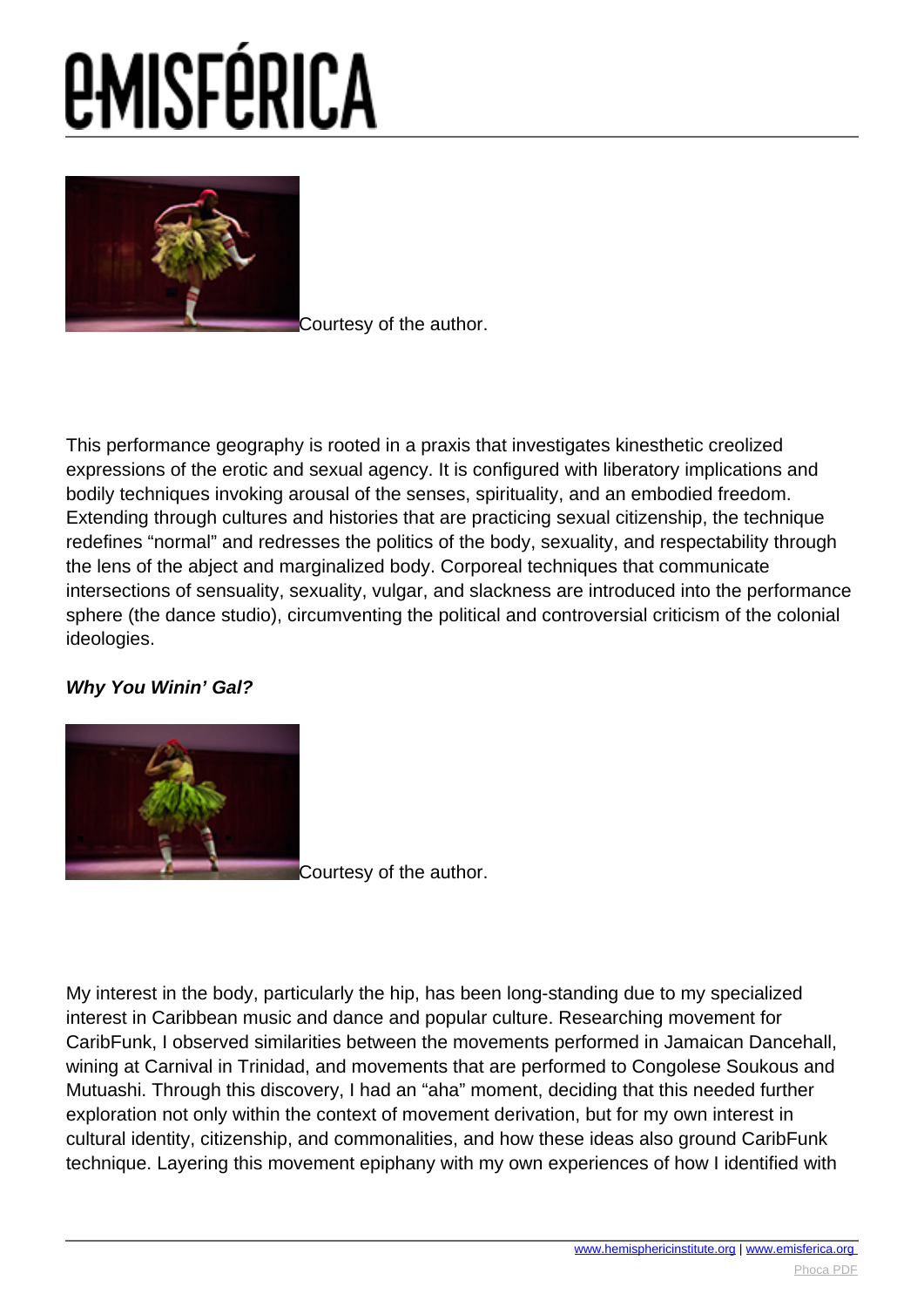# *<u>EMISFÉRICA</u>*



[C](images/e-misferica/11.2_images/112_lg_carey_04.jpg)ourtesy of the author.

This performance geography is rooted in a praxis that investigates kinesthetic creolized expressions of the erotic and sexual agency. It is configured with liberatory implications and bodily techniques invoking arousal of the senses, spirituality, and an embodied freedom. Extending through cultures and histories that are practicing sexual citizenship, the technique redefines "normal" and redresses the politics of the body, sexuality, and respectability through the lens of the abject and marginalized body. Corporeal techniques that communicate intersections of sensuality, sexuality, vulgar, and slackness are introduced into the performance sphere (the dance studio), circumventing the political and controversial criticism of the colonial ideologies.

### **Why You Winin' Gal?**



[C](images/e-misferica/11.2_images/112_lg_carey_05.jpg)ourtesy of the author.

My interest in the body, particularly the hip, has been long-standing due to my specialized interest in Caribbean music and dance and popular culture. Researching movement for CaribFunk, I observed similarities between the movements performed in Jamaican Dancehall, wining at Carnival in Trinidad, and movements that are performed to Congolese Soukous and Mutuashi. Through this discovery, I had an "aha" moment, deciding that this needed further exploration not only within the context of movement derivation, but for my own interest in cultural identity, citizenship, and commonalities, and how these ideas also ground CaribFunk technique. Layering this movement epiphany with my own experiences of how I identified with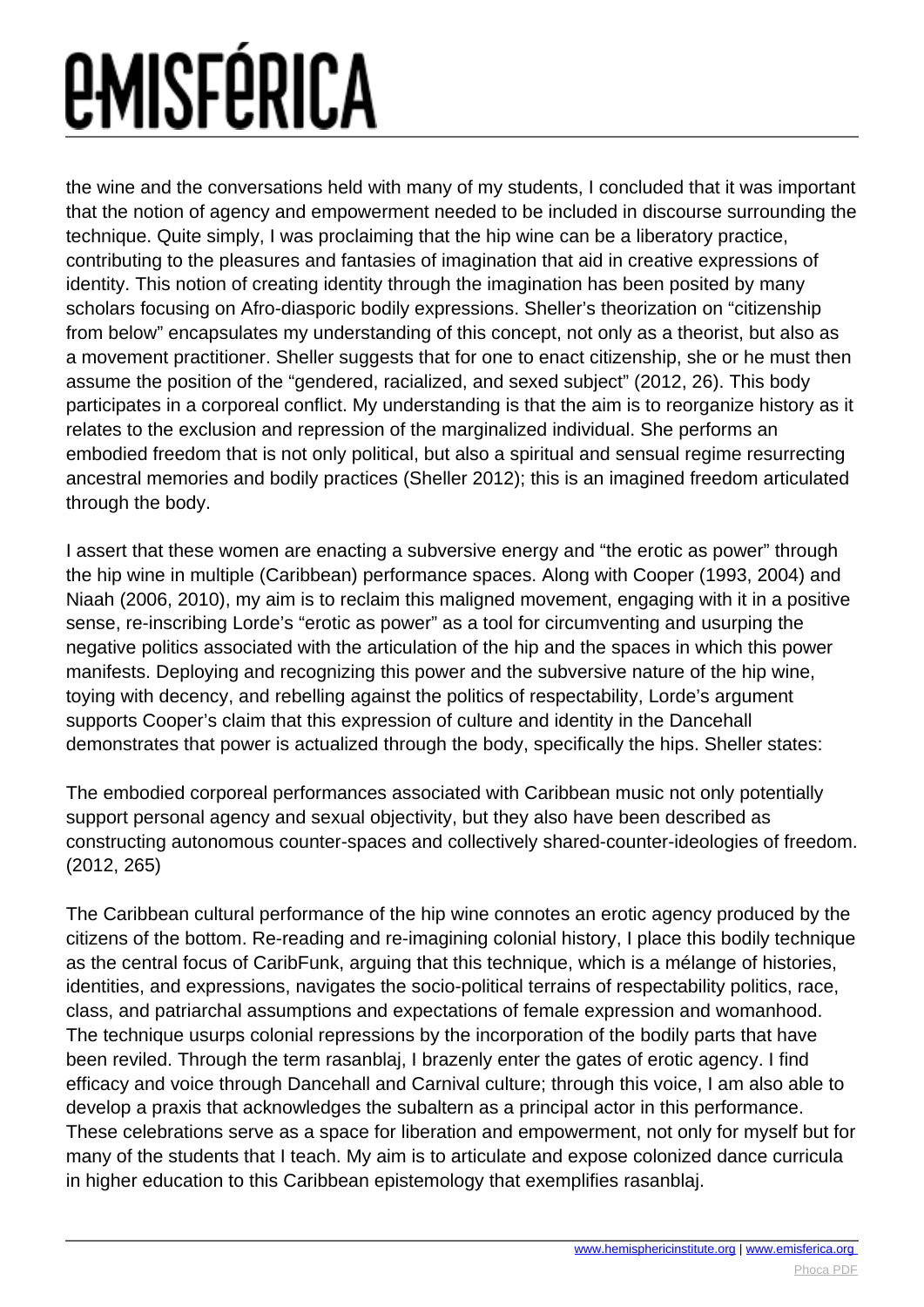the wine and the conversations held with many of my students, I concluded that it was important that the notion of agency and empowerment needed to be included in discourse surrounding the technique. Quite simply, I was proclaiming that the hip wine can be a liberatory practice, contributing to the pleasures and fantasies of imagination that aid in creative expressions of identity. This notion of creating identity through the imagination has been posited by many scholars focusing on Afro-diasporic bodily expressions. Sheller's theorization on "citizenship from below" encapsulates my understanding of this concept, not only as a theorist, but also as a movement practitioner. Sheller suggests that for one to enact citizenship, she or he must then assume the position of the "gendered, racialized, and sexed subject" (2012, 26). This body participates in a corporeal conflict. My understanding is that the aim is to reorganize history as it relates to the exclusion and repression of the marginalized individual. She performs an embodied freedom that is not only political, but also a spiritual and sensual regime resurrecting ancestral memories and bodily practices (Sheller 2012); this is an imagined freedom articulated through the body.

I assert that these women are enacting a subversive energy and "the erotic as power" through the hip wine in multiple (Caribbean) performance spaces. Along with Cooper (1993, 2004) and Niaah (2006, 2010), my aim is to reclaim this maligned movement, engaging with it in a positive sense, re-inscribing Lorde's "erotic as power" as a tool for circumventing and usurping the negative politics associated with the articulation of the hip and the spaces in which this power manifests. Deploying and recognizing this power and the subversive nature of the hip wine, toying with decency, and rebelling against the politics of respectability, Lorde's argument supports Cooper's claim that this expression of culture and identity in the Dancehall demonstrates that power is actualized through the body, specifically the hips. Sheller states:

The embodied corporeal performances associated with Caribbean music not only potentially support personal agency and sexual objectivity, but they also have been described as constructing autonomous counter-spaces and collectively shared-counter-ideologies of freedom. (2012, 265)

The Caribbean cultural performance of the hip wine connotes an erotic agency produced by the citizens of the bottom. Re-reading and re-imagining colonial history, I place this bodily technique as the central focus of CaribFunk, arguing that this technique, which is a mélange of histories, identities, and expressions, navigates the socio-political terrains of respectability politics, race, class, and patriarchal assumptions and expectations of female expression and womanhood. The technique usurps colonial repressions by the incorporation of the bodily parts that have been reviled. Through the term rasanblaj, I brazenly enter the gates of erotic agency. I find efficacy and voice through Dancehall and Carnival culture; through this voice, I am also able to develop a praxis that acknowledges the subaltern as a principal actor in this performance. These celebrations serve as a space for liberation and empowerment, not only for myself but for many of the students that I teach. My aim is to articulate and expose colonized dance curricula in higher education to this Caribbean epistemology that exemplifies rasanblaj.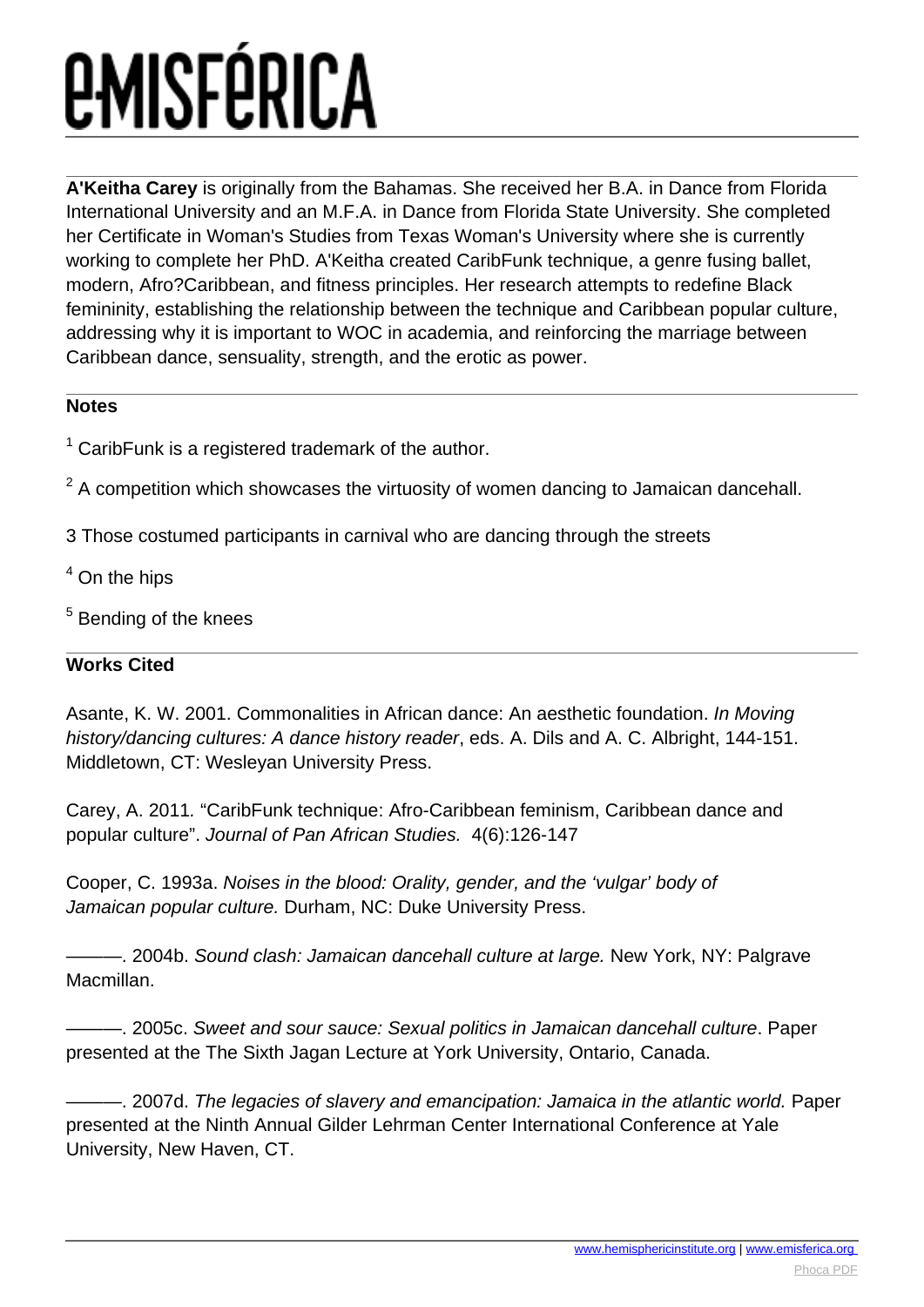## *<u>EMISFÉRICA</u>*

**A'Keitha Carey** is originally from the Bahamas. She received her B.A. in Dance from Florida International University and an M.F.A. in Dance from Florida State University. She completed her Certificate in Woman's Studies from Texas Woman's University where she is currently working to complete her PhD. A'Keitha created CaribFunk technique, a genre fusing ballet, modern, Afro?Caribbean, and fitness principles. Her research attempts to redefine Black femininity, establishing the relationship between the technique and Caribbean popular culture, addressing why it is important to WOC in academia, and reinforcing the marriage between Caribbean dance, sensuality, strength, and the erotic as power.

#### **Notes**

 $1$  CaribFunk is a registered trademark of the author.

- $2$  A competition which showcases the virtuosity of women dancing to Jamaican dancehall.
- 3 Those costumed participants in carnival who are dancing through the streets
- <sup>4</sup> On the hips
- <sup>5</sup> Bending of the knees

### **Works Cited**

Asante, K. W. 2001. Commonalities in African dance: An aesthetic foundation. In Moving history/dancing cultures: A dance history reader, eds. A. Dils and A. C. Albright, 144-151. Middletown, CT: Wesleyan University Press.

Carey, A. 2011. "CaribFunk technique: Afro-Caribbean feminism, Caribbean dance and popular culture". Journal of Pan African Studies. 4(6):126-147

Cooper, C. 1993a. Noises in the blood: Orality, gender, and the 'vulgar' body of Jamaican popular culture. Durham, NC: Duke University Press.

———. 2004b. Sound clash: Jamaican dancehall culture at large. New York, NY: Palgrave Macmillan.

–. 2005c. Sweet and sour sauce: Sexual politics in Jamaican dancehall culture. Paper presented at the The Sixth Jagan Lecture at York University, Ontario, Canada.

-, 2007d. The legacies of slavery and emancipation: Jamaica in the atlantic world. Paper presented at the Ninth Annual Gilder Lehrman Center International Conference at Yale University, New Haven, CT.